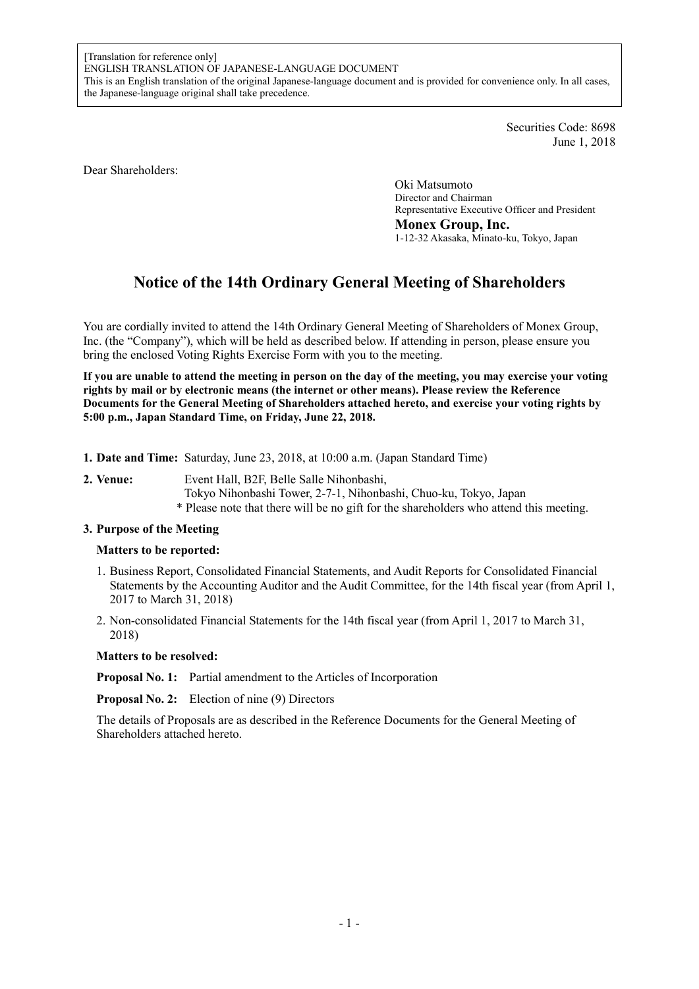Securities Code: 8698 June 1, 2018

Dear Shareholders:

Oki Matsumoto Director and Chairman Representative Executive Officer and President **Monex Group, Inc.**  1-12-32 Akasaka, Minato-ku, Tokyo, Japan

# **Notice of the 14th Ordinary General Meeting of Shareholders**

You are cordially invited to attend the 14th Ordinary General Meeting of Shareholders of Monex Group, Inc. (the "Company"), which will be held as described below. If attending in person, please ensure you bring the enclosed Voting Rights Exercise Form with you to the meeting.

**If you are unable to attend the meeting in person on the day of the meeting, you may exercise your voting rights by mail or by electronic means (the internet or other means). Please review the Reference Documents for the General Meeting of Shareholders attached hereto, and exercise your voting rights by 5:00 p.m., Japan Standard Time, on Friday, June 22, 2018.** 

- **1. Date and Time:** Saturday, June 23, 2018, at 10:00 a.m. (Japan Standard Time)
- **2. Venue:** Event Hall, B2F, Belle Salle Nihonbashi, Tokyo Nihonbashi Tower, 2-7-1, Nihonbashi, Chuo-ku, Tokyo, Japan \* Please note that there will be no gift for the shareholders who attend this meeting.

## **3. Purpose of the Meeting**

## **Matters to be reported:**

- 1. Business Report, Consolidated Financial Statements, and Audit Reports for Consolidated Financial Statements by the Accounting Auditor and the Audit Committee, for the 14th fiscal year (from April 1, 2017 to March 31, 2018)
- 2. Non-consolidated Financial Statements for the 14th fiscal year (from April 1, 2017 to March 31, 2018)

#### **Matters to be resolved:**

**Proposal No. 1:** Partial amendment to the Articles of Incorporation

**Proposal No. 2:** Election of nine (9) Directors

The details of Proposals are as described in the Reference Documents for the General Meeting of Shareholders attached hereto.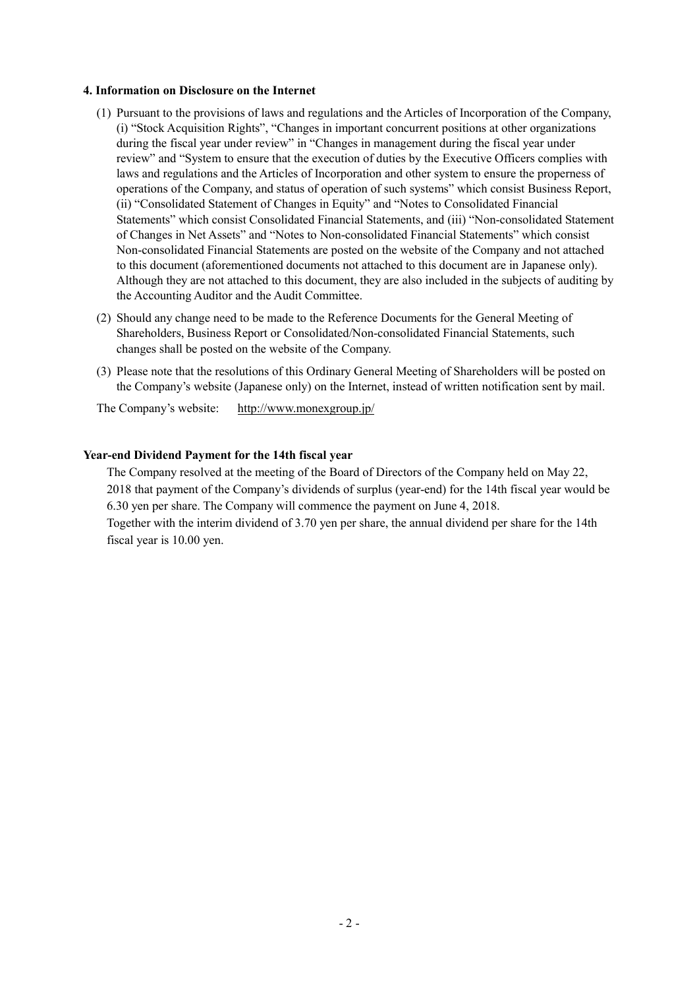#### **4. Information on Disclosure on the Internet**

- (1) Pursuant to the provisions of laws and regulations and the Articles of Incorporation of the Company, (i) "Stock Acquisition Rights", "Changes in important concurrent positions at other organizations during the fiscal year under review" in "Changes in management during the fiscal year under review" and "System to ensure that the execution of duties by the Executive Officers complies with laws and regulations and the Articles of Incorporation and other system to ensure the properness of operations of the Company, and status of operation of such systems" which consist Business Report, (ii) "Consolidated Statement of Changes in Equity" and "Notes to Consolidated Financial Statements" which consist Consolidated Financial Statements, and (iii) "Non-consolidated Statement of Changes in Net Assets" and "Notes to Non-consolidated Financial Statements" which consist Non-consolidated Financial Statements are posted on the website of the Company and not attached to this document (aforementioned documents not attached to this document are in Japanese only). Although they are not attached to this document, they are also included in the subjects of auditing by the Accounting Auditor and the Audit Committee.
- (2) Should any change need to be made to the Reference Documents for the General Meeting of Shareholders, Business Report or Consolidated/Non-consolidated Financial Statements, such changes shall be posted on the website of the Company.
- (3) Please note that the resolutions of this Ordinary General Meeting of Shareholders will be posted on the Company's website (Japanese only) on the Internet, instead of written notification sent by mail.

The Company's website: http://www.monexgroup.jp/

## **Year-end Dividend Payment for the 14th fiscal year**

The Company resolved at the meeting of the Board of Directors of the Company held on May 22, 2018 that payment of the Company's dividends of surplus (year-end) for the 14th fiscal year would be 6.30 yen per share. The Company will commence the payment on June 4, 2018.

Together with the interim dividend of 3.70 yen per share, the annual dividend per share for the 14th fiscal year is 10.00 yen.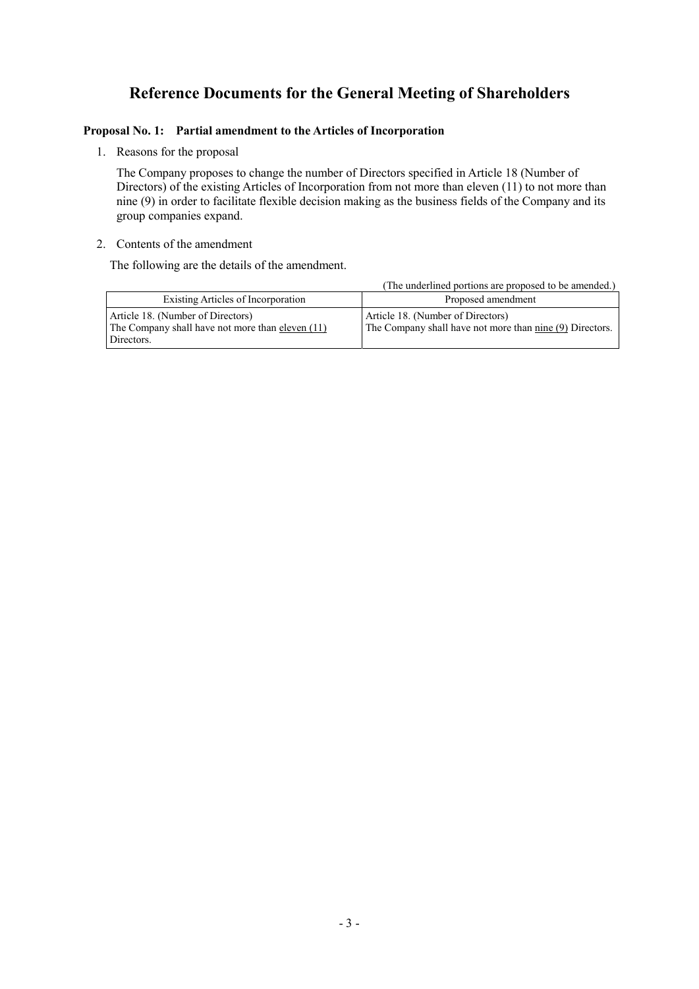## **Reference Documents for the General Meeting of Shareholders**

## **Proposal No. 1: Partial amendment to the Articles of Incorporation**

1. Reasons for the proposal

The Company proposes to change the number of Directors specified in Article 18 (Number of Directors) of the existing Articles of Incorporation from not more than eleven (11) to not more than nine (9) in order to facilitate flexible decision making as the business fields of the Company and its group companies expand.

## 2. Contents of the amendment

The following are the details of the amendment.

|                                                                                                     | (The underlined portions are proposed to be amended.)                                         |
|-----------------------------------------------------------------------------------------------------|-----------------------------------------------------------------------------------------------|
| Existing Articles of Incorporation                                                                  | Proposed amendment                                                                            |
| Article 18. (Number of Directors)<br>The Company shall have not more than eleven (11)<br>Directors. | Article 18. (Number of Directors)<br>The Company shall have not more than nine (9) Directors. |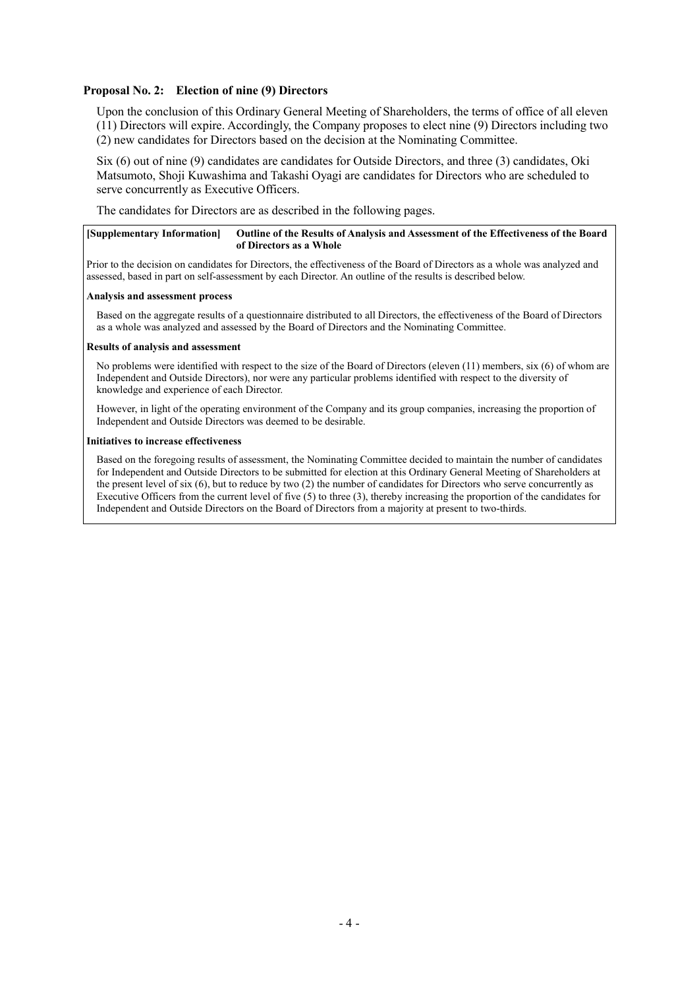### **Proposal No. 2: Election of nine (9) Directors**

Upon the conclusion of this Ordinary General Meeting of Shareholders, the terms of office of all eleven (11) Directors will expire. Accordingly, the Company proposes to elect nine (9) Directors including two (2) new candidates for Directors based on the decision at the Nominating Committee.

Six (6) out of nine (9) candidates are candidates for Outside Directors, and three (3) candidates, Oki Matsumoto, Shoji Kuwashima and Takashi Oyagi are candidates for Directors who are scheduled to serve concurrently as Executive Officers.

The candidates for Directors are as described in the following pages.

#### **[Supplementary Information] Outline of the Results of Analysis and Assessment of the Effectiveness of the Board of Directors as a Whole**

Prior to the decision on candidates for Directors, the effectiveness of the Board of Directors as a whole was analyzed and assessed, based in part on self-assessment by each Director. An outline of the results is described below.

#### **Analysis and assessment process**

Based on the aggregate results of a questionnaire distributed to all Directors, the effectiveness of the Board of Directors as a whole was analyzed and assessed by the Board of Directors and the Nominating Committee.

#### **Results of analysis and assessment**

No problems were identified with respect to the size of the Board of Directors (eleven (11) members, six (6) of whom are Independent and Outside Directors), nor were any particular problems identified with respect to the diversity of knowledge and experience of each Director.

However, in light of the operating environment of the Company and its group companies, increasing the proportion of Independent and Outside Directors was deemed to be desirable.

#### **Initiatives to increase effectiveness**

Based on the foregoing results of assessment, the Nominating Committee decided to maintain the number of candidates for Independent and Outside Directors to be submitted for election at this Ordinary General Meeting of Shareholders at the present level of six  $(6)$ , but to reduce by two  $(2)$  the number of candidates for Directors who serve concurrently as Executive Officers from the current level of five (5) to three (3), thereby increasing the proportion of the candidates for Independent and Outside Directors on the Board of Directors from a majority at present to two-thirds.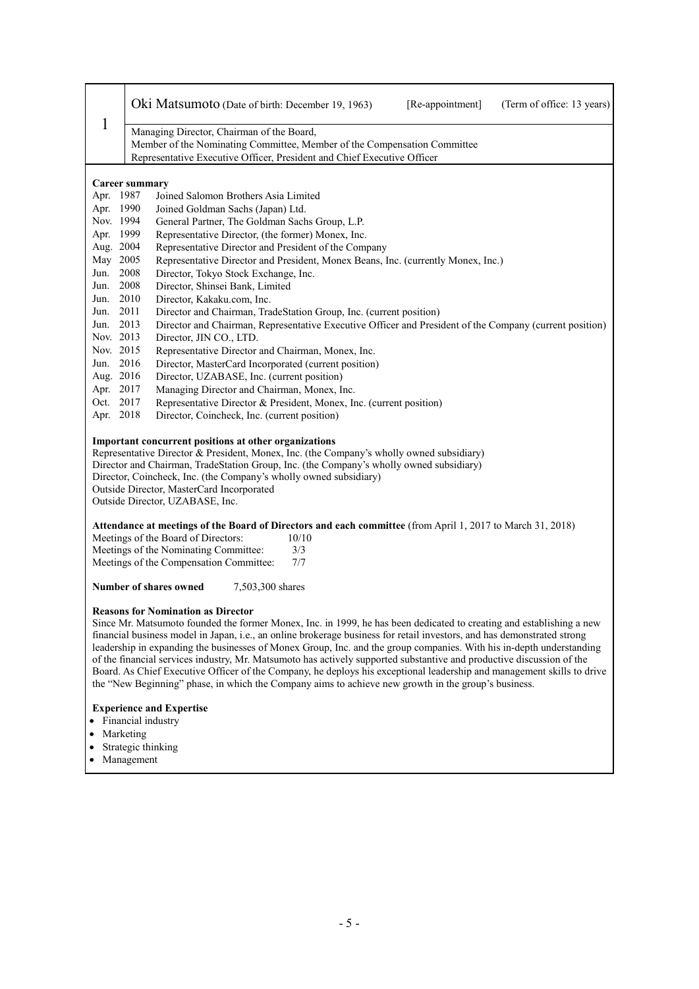|      |                                                                                                                                  | Oki Matsumoto (Date of birth: December 19, 1963)                                                                  |                  |  | [Re-appointment] | (Term of office: 13 years)                                                                                           |
|------|----------------------------------------------------------------------------------------------------------------------------------|-------------------------------------------------------------------------------------------------------------------|------------------|--|------------------|----------------------------------------------------------------------------------------------------------------------|
| 1    |                                                                                                                                  | Managing Director, Chairman of the Board,                                                                         |                  |  |                  |                                                                                                                      |
|      |                                                                                                                                  | Member of the Nominating Committee, Member of the Compensation Committee                                          |                  |  |                  |                                                                                                                      |
|      |                                                                                                                                  | Representative Executive Officer, President and Chief Executive Officer                                           |                  |  |                  |                                                                                                                      |
|      |                                                                                                                                  |                                                                                                                   |                  |  |                  |                                                                                                                      |
|      | Career summary                                                                                                                   |                                                                                                                   |                  |  |                  |                                                                                                                      |
|      | Apr. 1987                                                                                                                        | Joined Salomon Brothers Asia Limited                                                                              |                  |  |                  |                                                                                                                      |
|      | Apr. 1990                                                                                                                        | Joined Goldman Sachs (Japan) Ltd.                                                                                 |                  |  |                  |                                                                                                                      |
|      | Nov. 1994                                                                                                                        | General Partner, The Goldman Sachs Group, L.P.                                                                    |                  |  |                  |                                                                                                                      |
|      | Apr. 1999                                                                                                                        | Representative Director, (the former) Monex, Inc.                                                                 |                  |  |                  |                                                                                                                      |
|      | Aug. 2004                                                                                                                        | Representative Director and President of the Company                                                              |                  |  |                  |                                                                                                                      |
|      | May 2005                                                                                                                         | Representative Director and President, Monex Beans, Inc. (currently Monex, Inc.)                                  |                  |  |                  |                                                                                                                      |
| Jun. | 2008                                                                                                                             | Director, Tokyo Stock Exchange, Inc.                                                                              |                  |  |                  |                                                                                                                      |
| Jun. | 2008                                                                                                                             | Director, Shinsei Bank, Limited                                                                                   |                  |  |                  |                                                                                                                      |
|      | Jun. 2010                                                                                                                        | Director, Kakaku.com, Inc.                                                                                        |                  |  |                  |                                                                                                                      |
| Jun. | 2011                                                                                                                             | Director and Chairman, TradeStation Group, Inc. (current position)                                                |                  |  |                  |                                                                                                                      |
| Jun. | 2013                                                                                                                             |                                                                                                                   |                  |  |                  | Director and Chairman, Representative Executive Officer and President of the Company (current position)              |
|      | Nov. 2013                                                                                                                        | Director, JIN CO., LTD.                                                                                           |                  |  |                  |                                                                                                                      |
|      | Nov. 2015                                                                                                                        | Representative Director and Chairman, Monex, Inc.                                                                 |                  |  |                  |                                                                                                                      |
| Jun. | 2016<br>Director, MasterCard Incorporated (current position)                                                                     |                                                                                                                   |                  |  |                  |                                                                                                                      |
|      | Aug. 2016                                                                                                                        | Director, UZABASE, Inc. (current position)                                                                        |                  |  |                  |                                                                                                                      |
|      | Apr. 2017<br>Managing Director and Chairman, Monex, Inc.<br>Oct. 2017                                                            |                                                                                                                   |                  |  |                  |                                                                                                                      |
|      | Representative Director & President, Monex, Inc. (current position)<br>Apr. 2018<br>Director, Coincheck, Inc. (current position) |                                                                                                                   |                  |  |                  |                                                                                                                      |
|      |                                                                                                                                  |                                                                                                                   |                  |  |                  |                                                                                                                      |
|      |                                                                                                                                  | Important concurrent positions at other organizations                                                             |                  |  |                  |                                                                                                                      |
|      |                                                                                                                                  | Representative Director & President, Monex, Inc. (the Company's wholly owned subsidiary)                          |                  |  |                  |                                                                                                                      |
|      |                                                                                                                                  | Director and Chairman, TradeStation Group, Inc. (the Company's wholly owned subsidiary)                           |                  |  |                  |                                                                                                                      |
|      |                                                                                                                                  | Director, Coincheck, Inc. (the Company's wholly owned subsidiary)                                                 |                  |  |                  |                                                                                                                      |
|      | Outside Director, MasterCard Incorporated                                                                                        |                                                                                                                   |                  |  |                  |                                                                                                                      |
|      |                                                                                                                                  | Outside Director, UZABASE, Inc.                                                                                   |                  |  |                  |                                                                                                                      |
|      |                                                                                                                                  |                                                                                                                   |                  |  |                  |                                                                                                                      |
|      |                                                                                                                                  | <b>Attendance at meetings of the Board of Directors and each committee</b> (from April 1, 2017 to March 31, 2018) |                  |  |                  |                                                                                                                      |
|      |                                                                                                                                  | Meetings of the Board of Directors:                                                                               | 10/10            |  |                  |                                                                                                                      |
|      |                                                                                                                                  | Meetings of the Nominating Committee:                                                                             | 3/3<br>7/7       |  |                  |                                                                                                                      |
|      |                                                                                                                                  | Meetings of the Compensation Committee:                                                                           |                  |  |                  |                                                                                                                      |
|      |                                                                                                                                  | Number of shares owned                                                                                            | 7,503,300 shares |  |                  |                                                                                                                      |
|      |                                                                                                                                  | <b>Reasons for Nomination as Director</b>                                                                         |                  |  |                  |                                                                                                                      |
|      |                                                                                                                                  |                                                                                                                   |                  |  |                  | Since Mr. Matsumoto founded the former Monex, Inc. in 1999, he has been dedicated to creating and establishing a new |
|      | financial business model in Japan, i.e., an online brokerage business for retail investors, and has demonstrated strong          |                                                                                                                   |                  |  |                  |                                                                                                                      |
|      |                                                                                                                                  |                                                                                                                   |                  |  |                  | leadership in expanding the businesses of Monex Group, Inc. and the group companies. With his in-depth understanding |
|      | of the financial services industry, Mr. Matsumoto has actively supported substantive and productive discussion of the            |                                                                                                                   |                  |  |                  |                                                                                                                      |

Board. As Chief Executive Officer of the Company, he deploys his exceptional leadership and management skills to drive the "New Beginning" phase, in which the Company aims to achieve new growth in the group's business.

## **Experience and Expertise**

- Financial industry
- Marketing
- Strategic thinking
- Management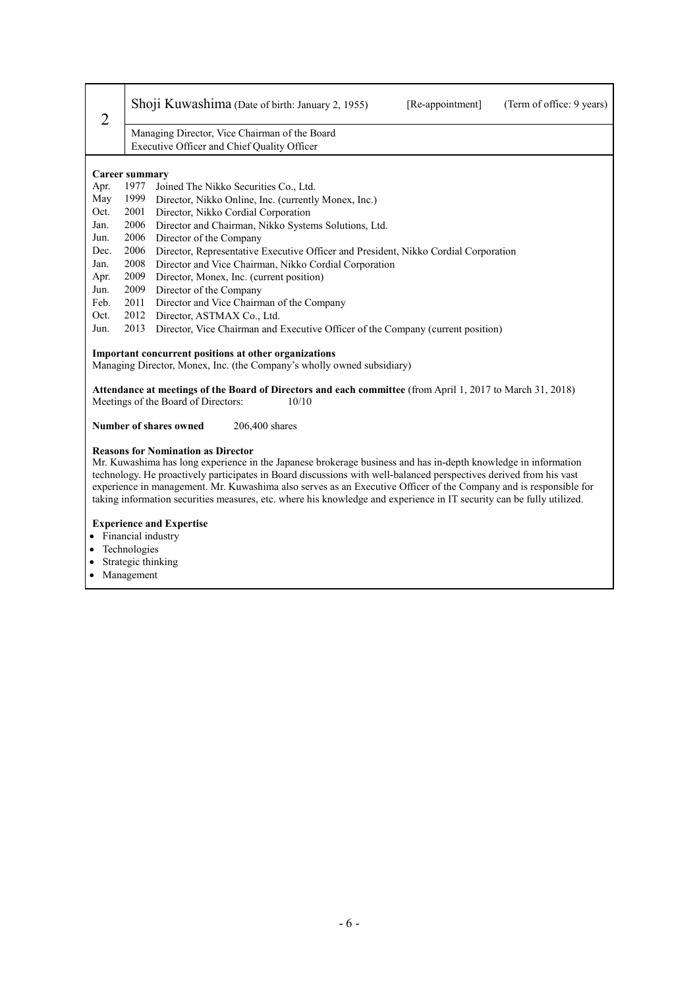| $\overline{2}$ | Shoji Kuwashima (Date of birth: January 2, 1955)<br>[Re-appointment]<br>(Term of office: 9 years)                                                                                                                                                                                                                                                                                                                                                                                                                               |  |  |
|----------------|---------------------------------------------------------------------------------------------------------------------------------------------------------------------------------------------------------------------------------------------------------------------------------------------------------------------------------------------------------------------------------------------------------------------------------------------------------------------------------------------------------------------------------|--|--|
|                | Managing Director, Vice Chairman of the Board<br>Executive Officer and Chief Quality Officer                                                                                                                                                                                                                                                                                                                                                                                                                                    |  |  |
|                | Career summary                                                                                                                                                                                                                                                                                                                                                                                                                                                                                                                  |  |  |
| Apr.           | 1977<br>Joined The Nikko Securities Co., Ltd.                                                                                                                                                                                                                                                                                                                                                                                                                                                                                   |  |  |
| May            | 1999<br>Director, Nikko Online, Inc. (currently Monex, Inc.)                                                                                                                                                                                                                                                                                                                                                                                                                                                                    |  |  |
| Oct.           | 2001<br>Director, Nikko Cordial Corporation                                                                                                                                                                                                                                                                                                                                                                                                                                                                                     |  |  |
| Jan.           | 2006<br>Director and Chairman, Nikko Systems Solutions, Ltd.                                                                                                                                                                                                                                                                                                                                                                                                                                                                    |  |  |
| Jun.           | 2006<br>Director of the Company                                                                                                                                                                                                                                                                                                                                                                                                                                                                                                 |  |  |
| Dec.           | 2006<br>Director, Representative Executive Officer and President, Nikko Cordial Corporation                                                                                                                                                                                                                                                                                                                                                                                                                                     |  |  |
| Jan.           | 2008<br>Director and Vice Chairman, Nikko Cordial Corporation                                                                                                                                                                                                                                                                                                                                                                                                                                                                   |  |  |
| Apr.           | 2009<br>Director, Monex, Inc. (current position)                                                                                                                                                                                                                                                                                                                                                                                                                                                                                |  |  |
| Jun.           | 2009<br>Director of the Company                                                                                                                                                                                                                                                                                                                                                                                                                                                                                                 |  |  |
| Feb.           | 2011<br>Director and Vice Chairman of the Company                                                                                                                                                                                                                                                                                                                                                                                                                                                                               |  |  |
| Oct.           | 2012<br>Director, ASTMAX Co., Ltd.                                                                                                                                                                                                                                                                                                                                                                                                                                                                                              |  |  |
| Jun.           | 2013<br>Director, Vice Chairman and Executive Officer of the Company (current position)                                                                                                                                                                                                                                                                                                                                                                                                                                         |  |  |
|                | Important concurrent positions at other organizations                                                                                                                                                                                                                                                                                                                                                                                                                                                                           |  |  |
|                | Managing Director, Monex, Inc. (the Company's wholly owned subsidiary)                                                                                                                                                                                                                                                                                                                                                                                                                                                          |  |  |
|                | Attendance at meetings of the Board of Directors and each committee (from April 1, 2017 to March 31, 2018)<br>Meetings of the Board of Directors:<br>10/10                                                                                                                                                                                                                                                                                                                                                                      |  |  |
|                | Number of shares owned<br>206,400 shares                                                                                                                                                                                                                                                                                                                                                                                                                                                                                        |  |  |
|                | <b>Reasons for Nomination as Director</b><br>Mr. Kuwashima has long experience in the Japanese brokerage business and has in-depth knowledge in information<br>technology. He proactively participates in Board discussions with well-balanced perspectives derived from his vast<br>experience in management. Mr. Kuwashima also serves as an Executive Officer of the Company and is responsible for<br>taking information securities measures, etc. where his knowledge and experience in IT security can be fully utilized. |  |  |
| $\bullet$      | <b>Experience and Expertise</b><br>Financial industry<br>Technologies                                                                                                                                                                                                                                                                                                                                                                                                                                                           |  |  |

- Strategic thinking
- Management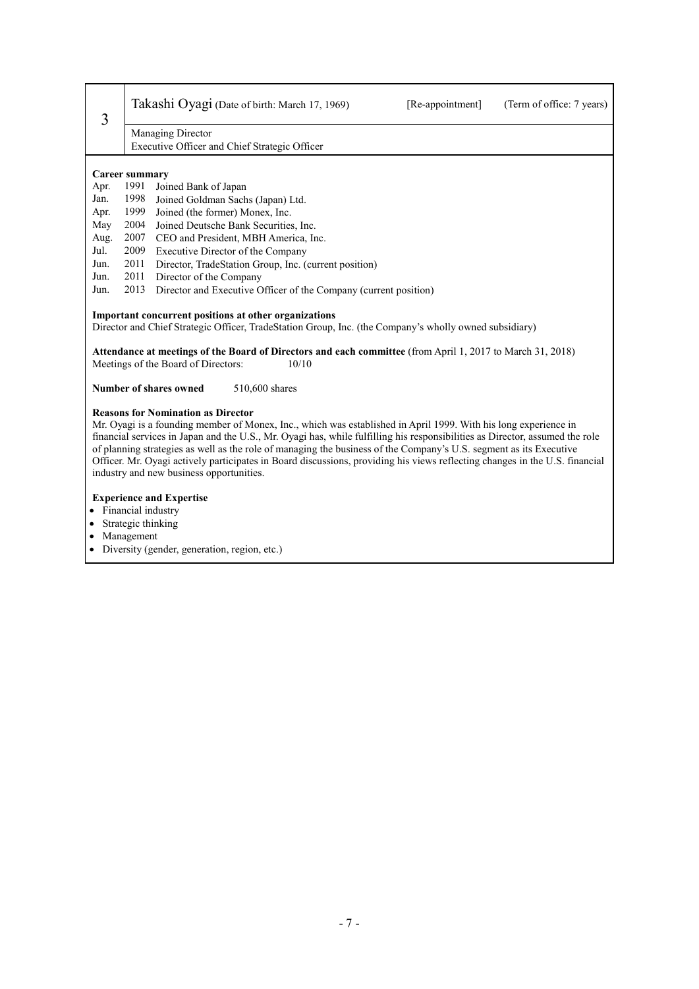| 3                                                                                                                                                                                                                                                                                                                                                                                                                                                                                                                                                                                             | Takashi Oyagi (Date of birth: March 17, 1969)<br>[Re-appointment]<br>(Term of office: 7 years)                                                                                                         |  |  |
|-----------------------------------------------------------------------------------------------------------------------------------------------------------------------------------------------------------------------------------------------------------------------------------------------------------------------------------------------------------------------------------------------------------------------------------------------------------------------------------------------------------------------------------------------------------------------------------------------|--------------------------------------------------------------------------------------------------------------------------------------------------------------------------------------------------------|--|--|
| Managing Director<br>Executive Officer and Chief Strategic Officer                                                                                                                                                                                                                                                                                                                                                                                                                                                                                                                            |                                                                                                                                                                                                        |  |  |
|                                                                                                                                                                                                                                                                                                                                                                                                                                                                                                                                                                                               |                                                                                                                                                                                                        |  |  |
|                                                                                                                                                                                                                                                                                                                                                                                                                                                                                                                                                                                               | <b>Career summary</b>                                                                                                                                                                                  |  |  |
| Apr.                                                                                                                                                                                                                                                                                                                                                                                                                                                                                                                                                                                          | 1991<br>Joined Bank of Japan                                                                                                                                                                           |  |  |
| Jan.                                                                                                                                                                                                                                                                                                                                                                                                                                                                                                                                                                                          | 1998<br>Joined Goldman Sachs (Japan) Ltd.                                                                                                                                                              |  |  |
| Apr.                                                                                                                                                                                                                                                                                                                                                                                                                                                                                                                                                                                          | 1999<br>Joined (the former) Monex, Inc.                                                                                                                                                                |  |  |
| May                                                                                                                                                                                                                                                                                                                                                                                                                                                                                                                                                                                           | 2004<br>Joined Deutsche Bank Securities, Inc.                                                                                                                                                          |  |  |
| Aug.                                                                                                                                                                                                                                                                                                                                                                                                                                                                                                                                                                                          | 2007<br>CEO and President, MBH America, Inc.                                                                                                                                                           |  |  |
| Jul.                                                                                                                                                                                                                                                                                                                                                                                                                                                                                                                                                                                          | 2009<br>Executive Director of the Company                                                                                                                                                              |  |  |
| Jun.                                                                                                                                                                                                                                                                                                                                                                                                                                                                                                                                                                                          | 2011<br>Director, TradeStation Group, Inc. (current position)                                                                                                                                          |  |  |
| Jun.                                                                                                                                                                                                                                                                                                                                                                                                                                                                                                                                                                                          | 2011<br>Director of the Company                                                                                                                                                                        |  |  |
| Jun.                                                                                                                                                                                                                                                                                                                                                                                                                                                                                                                                                                                          | 2013<br>Director and Executive Officer of the Company (current position)                                                                                                                               |  |  |
|                                                                                                                                                                                                                                                                                                                                                                                                                                                                                                                                                                                               | Attendance at meetings of the Board of Directors and each committee (from April 1, 2017 to March 31, 2018)<br>Meetings of the Board of Directors:<br>10/10<br>Number of shares owned<br>510,600 shares |  |  |
| <b>Reasons for Nomination as Director</b><br>Mr. Oyagi is a founding member of Monex, Inc., which was established in April 1999. With his long experience in<br>financial services in Japan and the U.S., Mr. Oyagi has, while fulfilling his responsibilities as Director, assumed the role<br>of planning strategies as well as the role of managing the business of the Company's U.S. segment as its Executive<br>Officer. Mr. Oyagi actively participates in Board discussions, providing his views reflecting changes in the U.S. financial<br>industry and new business opportunities. |                                                                                                                                                                                                        |  |  |
| <b>Experience and Expertise</b><br>Financial industry<br>Strategic thinking<br>Management<br>Diversity (gender, generation, region, etc.)                                                                                                                                                                                                                                                                                                                                                                                                                                                     |                                                                                                                                                                                                        |  |  |
|                                                                                                                                                                                                                                                                                                                                                                                                                                                                                                                                                                                               |                                                                                                                                                                                                        |  |  |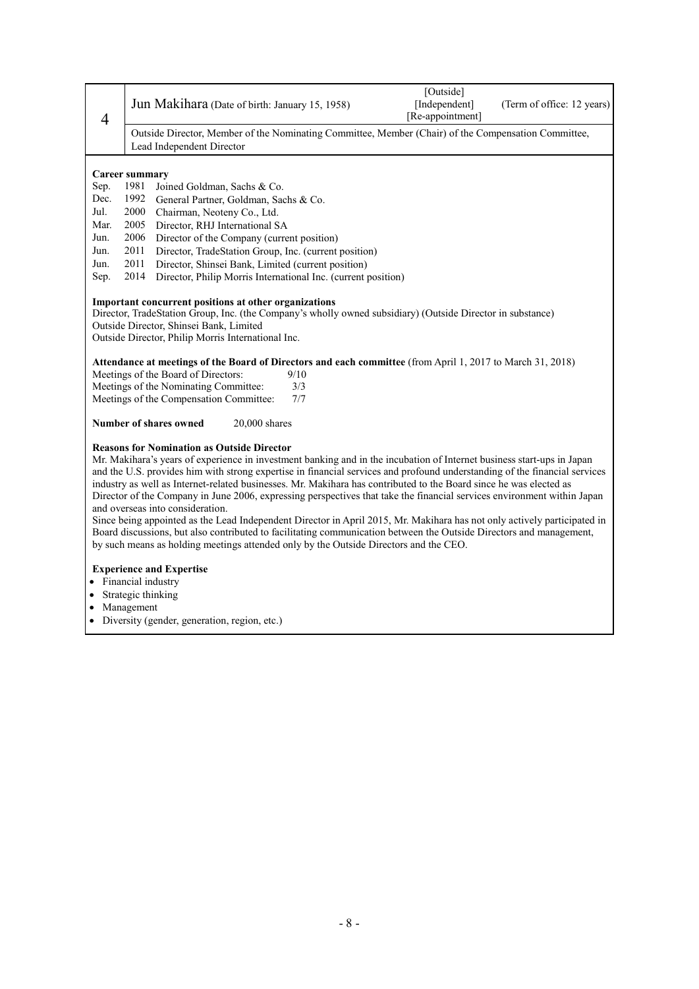|                |                                                                                                                            | [Outside]        |                            |  |  |
|----------------|----------------------------------------------------------------------------------------------------------------------------|------------------|----------------------------|--|--|
|                | Jun Makihara (Date of birth: January 15, 1958)                                                                             | [Independent]    | (Term of office: 12 years) |  |  |
| $\overline{4}$ |                                                                                                                            | [Re-appointment] |                            |  |  |
|                | Outside Director, Member of the Nominating Committee, Member (Chair) of the Compensation Committee,                        |                  |                            |  |  |
|                | Lead Independent Director                                                                                                  |                  |                            |  |  |
|                |                                                                                                                            |                  |                            |  |  |
|                | <b>Career summary</b>                                                                                                      |                  |                            |  |  |
| Sep.<br>Dec.   | 1981<br>Joined Goldman, Sachs & Co.<br>1992<br>General Partner, Goldman, Sachs & Co.                                       |                  |                            |  |  |
| Jul.           | 2000                                                                                                                       |                  |                            |  |  |
| Mar.           | Chairman, Neoteny Co., Ltd.<br>2005<br>Director, RHJ International SA                                                      |                  |                            |  |  |
| Jun.           | 2006<br>Director of the Company (current position)                                                                         |                  |                            |  |  |
| Jun.           | 2011<br>Director, TradeStation Group, Inc. (current position)                                                              |                  |                            |  |  |
| Jun.           | 2011<br>Director, Shinsei Bank, Limited (current position)                                                                 |                  |                            |  |  |
| Sep.           | 2014<br>Director, Philip Morris International Inc. (current position)                                                      |                  |                            |  |  |
|                |                                                                                                                            |                  |                            |  |  |
|                | Important concurrent positions at other organizations                                                                      |                  |                            |  |  |
|                | Director, TradeStation Group, Inc. (the Company's wholly owned subsidiary) (Outside Director in substance)                 |                  |                            |  |  |
|                | Outside Director, Shinsei Bank, Limited                                                                                    |                  |                            |  |  |
|                | Outside Director, Philip Morris International Inc.                                                                         |                  |                            |  |  |
|                | Attendance at meetings of the Board of Directors and each committee (from April 1, 2017 to March 31, 2018)                 |                  |                            |  |  |
|                | Meetings of the Board of Directors:<br>9/10                                                                                |                  |                            |  |  |
|                | Meetings of the Nominating Committee:<br>3/3                                                                               |                  |                            |  |  |
|                | 7/7<br>Meetings of the Compensation Committee:                                                                             |                  |                            |  |  |
|                | Number of shares owned<br>$20,000$ shares                                                                                  |                  |                            |  |  |
|                | <b>Reasons for Nomination as Outside Director</b>                                                                          |                  |                            |  |  |
|                | Mr. Makihara's years of experience in investment banking and in the incubation of Internet business start-ups in Japan     |                  |                            |  |  |
|                | and the U.S. provides him with strong expertise in financial services and profound understanding of the financial services |                  |                            |  |  |
|                | industry as well as Internet-related businesses. Mr. Makihara has contributed to the Board since he was elected as         |                  |                            |  |  |
|                | Director of the Company in June 2006, expressing perspectives that take the financial services environment within Japan    |                  |                            |  |  |
|                | and overseas into consideration.                                                                                           |                  |                            |  |  |
|                | Since being appointed as the Lead Independent Director in April 2015, Mr. Makihara has not only actively participated in   |                  |                            |  |  |
|                | Board discussions, but also contributed to facilitating communication between the Outside Directors and management,        |                  |                            |  |  |
|                | by such means as holding meetings attended only by the Outside Directors and the CEO.                                      |                  |                            |  |  |
|                | <b>Experience and Expertise</b>                                                                                            |                  |                            |  |  |
|                | Financial industry                                                                                                         |                  |                            |  |  |
|                | Strategic thinking                                                                                                         |                  |                            |  |  |
|                | Management                                                                                                                 |                  |                            |  |  |
| $\bullet$      | Diversity (gender, generation, region, etc.)                                                                               |                  |                            |  |  |

Diversity (gender, generation, region, etc.)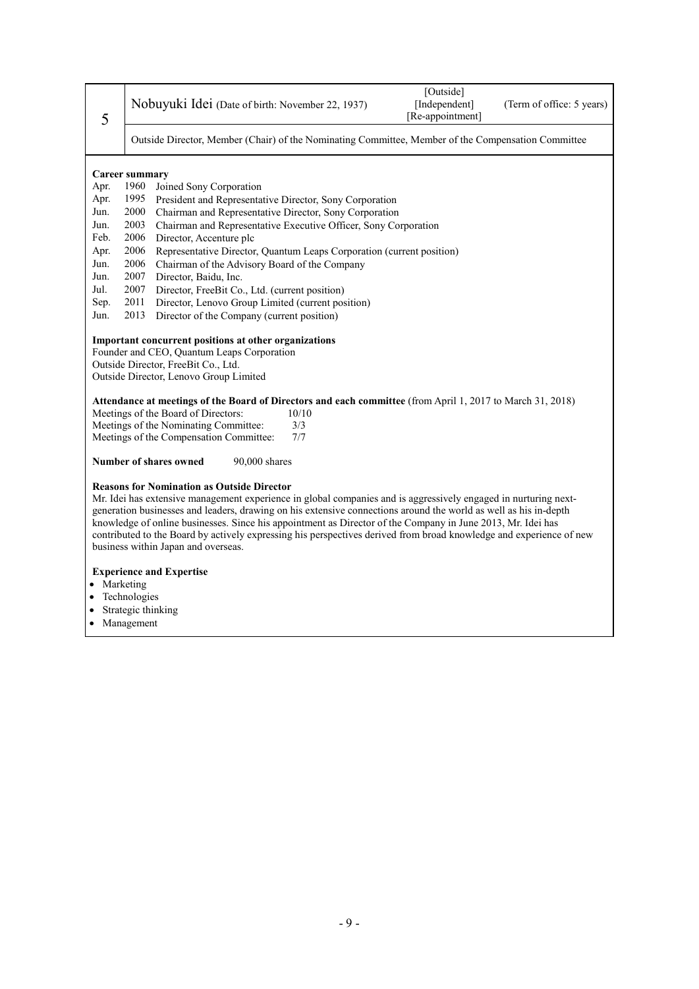| 5                                                                                                  | [Outside]<br>Nobuyuki Idei (Date of birth: November 22, 1937)<br>[Independent]<br>(Term of office: 5 years)<br>[Re-appointment]                                                                                                                                                          |  |  |
|----------------------------------------------------------------------------------------------------|------------------------------------------------------------------------------------------------------------------------------------------------------------------------------------------------------------------------------------------------------------------------------------------|--|--|
| Outside Director, Member (Chair) of the Nominating Committee, Member of the Compensation Committee |                                                                                                                                                                                                                                                                                          |  |  |
|                                                                                                    | Career summary                                                                                                                                                                                                                                                                           |  |  |
| Apr.                                                                                               | 1960<br>Joined Sony Corporation                                                                                                                                                                                                                                                          |  |  |
| Apr.                                                                                               | President and Representative Director, Sony Corporation<br>1995                                                                                                                                                                                                                          |  |  |
| Jun.                                                                                               | 2000<br>Chairman and Representative Director, Sony Corporation                                                                                                                                                                                                                           |  |  |
| Jun.                                                                                               | 2003<br>Chairman and Representative Executive Officer, Sony Corporation                                                                                                                                                                                                                  |  |  |
| Feb.                                                                                               | 2006<br>Director, Accenture plc                                                                                                                                                                                                                                                          |  |  |
| Apr.                                                                                               | 2006<br>Representative Director, Quantum Leaps Corporation (current position)                                                                                                                                                                                                            |  |  |
| Jun.                                                                                               | 2006<br>Chairman of the Advisory Board of the Company                                                                                                                                                                                                                                    |  |  |
| Jun.                                                                                               | 2007<br>Director, Baidu, Inc.                                                                                                                                                                                                                                                            |  |  |
| Jul.                                                                                               | 2007<br>Director, FreeBit Co., Ltd. (current position)                                                                                                                                                                                                                                   |  |  |
| Sep.                                                                                               | Director, Lenovo Group Limited (current position)<br>2011                                                                                                                                                                                                                                |  |  |
| Jun.                                                                                               | 2013<br>Director of the Company (current position)                                                                                                                                                                                                                                       |  |  |
|                                                                                                    | Important concurrent positions at other organizations                                                                                                                                                                                                                                    |  |  |
|                                                                                                    | Founder and CEO, Quantum Leaps Corporation                                                                                                                                                                                                                                               |  |  |
|                                                                                                    | Outside Director, FreeBit Co., Ltd.                                                                                                                                                                                                                                                      |  |  |
|                                                                                                    | Outside Director, Lenovo Group Limited                                                                                                                                                                                                                                                   |  |  |
|                                                                                                    | Attendance at meetings of the Board of Directors and each committee (from April 1, 2017 to March 31, 2018)                                                                                                                                                                               |  |  |
|                                                                                                    | Meetings of the Board of Directors:<br>10/10                                                                                                                                                                                                                                             |  |  |
|                                                                                                    | Meetings of the Nominating Committee:<br>3/3                                                                                                                                                                                                                                             |  |  |
|                                                                                                    | Meetings of the Compensation Committee:<br>7/7                                                                                                                                                                                                                                           |  |  |
|                                                                                                    | Number of shares owned<br>90,000 shares                                                                                                                                                                                                                                                  |  |  |
|                                                                                                    | <b>Reasons for Nomination as Outside Director</b><br>Mr. Idei has extensive management experience in global companies and is aggressively engaged in nurturing next-<br>generation businesses and leaders, drawing on his extensive connections around the world as well as his in-depth |  |  |
|                                                                                                    | knowledge of online businesses. Since his appointment as Director of the Company in June 2013, Mr. Idei has<br>contributed to the Board by actively expressing his perspectives derived from broad knowledge and experience of new                                                       |  |  |

business within Japan and overseas.

#### **Experience and Expertise**

- Marketing
- Technologies
- Strategic thinking
- Management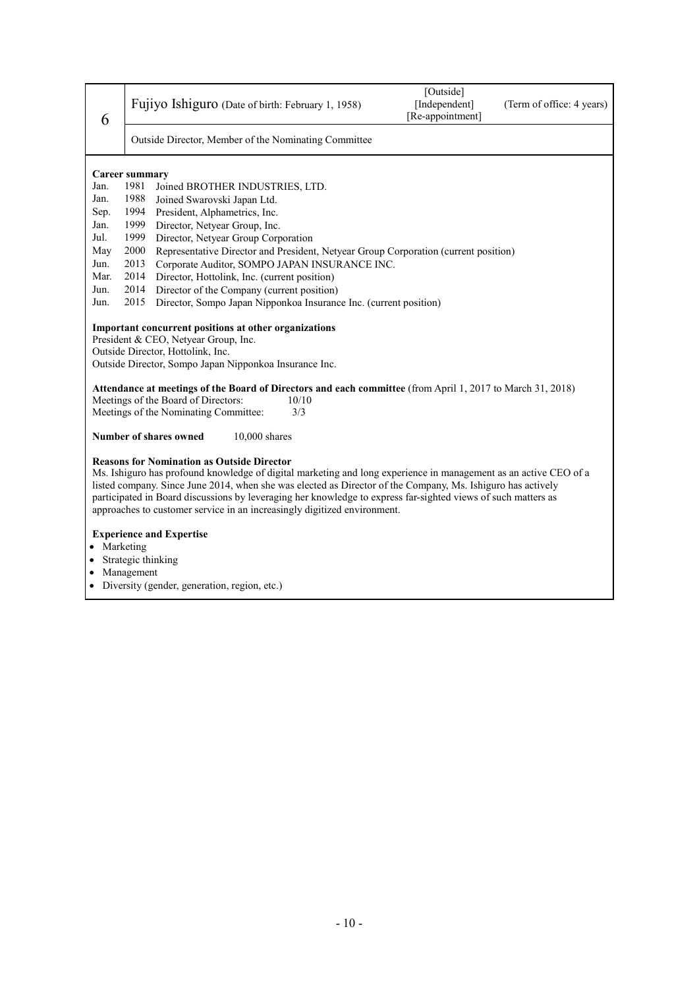| 6                                                                                                                                                                                            | Fujiyo Ishiguro (Date of birth: February 1, 1958)                                                                                                                                                                                                                                                                                                                                                                                                                                 | [Outside]<br>[Independent]<br>[Re-appointment] | (Term of office: 4 years) |  |  |
|----------------------------------------------------------------------------------------------------------------------------------------------------------------------------------------------|-----------------------------------------------------------------------------------------------------------------------------------------------------------------------------------------------------------------------------------------------------------------------------------------------------------------------------------------------------------------------------------------------------------------------------------------------------------------------------------|------------------------------------------------|---------------------------|--|--|
|                                                                                                                                                                                              | Outside Director, Member of the Nominating Committee                                                                                                                                                                                                                                                                                                                                                                                                                              |                                                |                           |  |  |
|                                                                                                                                                                                              | <b>Career summary</b>                                                                                                                                                                                                                                                                                                                                                                                                                                                             |                                                |                           |  |  |
| Jan.                                                                                                                                                                                         | 1981<br>Joined BROTHER INDUSTRIES, LTD.                                                                                                                                                                                                                                                                                                                                                                                                                                           |                                                |                           |  |  |
| Jan.                                                                                                                                                                                         | 1988<br>Joined Swarovski Japan Ltd.                                                                                                                                                                                                                                                                                                                                                                                                                                               |                                                |                           |  |  |
| Sep.                                                                                                                                                                                         | 1994<br>President, Alphametrics, Inc.                                                                                                                                                                                                                                                                                                                                                                                                                                             |                                                |                           |  |  |
| Jan.                                                                                                                                                                                         | 1999<br>Director, Netyear Group, Inc.                                                                                                                                                                                                                                                                                                                                                                                                                                             |                                                |                           |  |  |
| Jul.                                                                                                                                                                                         | 1999<br>Director, Netyear Group Corporation                                                                                                                                                                                                                                                                                                                                                                                                                                       |                                                |                           |  |  |
| May                                                                                                                                                                                          | 2000<br>Representative Director and President, Netyear Group Corporation (current position)                                                                                                                                                                                                                                                                                                                                                                                       |                                                |                           |  |  |
| Jun.                                                                                                                                                                                         | 2013<br>Corporate Auditor, SOMPO JAPAN INSURANCE INC.                                                                                                                                                                                                                                                                                                                                                                                                                             |                                                |                           |  |  |
| Mar.                                                                                                                                                                                         | 2014<br>Director, Hottolink, Inc. (current position)                                                                                                                                                                                                                                                                                                                                                                                                                              |                                                |                           |  |  |
| Jun.                                                                                                                                                                                         | 2014<br>Director of the Company (current position)                                                                                                                                                                                                                                                                                                                                                                                                                                |                                                |                           |  |  |
| Jun.                                                                                                                                                                                         | 2015<br>Director, Sompo Japan Nipponkoa Insurance Inc. (current position)                                                                                                                                                                                                                                                                                                                                                                                                         |                                                |                           |  |  |
| Important concurrent positions at other organizations<br>President & CEO, Netyear Group, Inc.<br>Outside Director, Hottolink, Inc.<br>Outside Director, Sompo Japan Nipponkoa Insurance Inc. |                                                                                                                                                                                                                                                                                                                                                                                                                                                                                   |                                                |                           |  |  |
|                                                                                                                                                                                              | Attendance at meetings of the Board of Directors and each committee (from April 1, 2017 to March 31, 2018)                                                                                                                                                                                                                                                                                                                                                                        |                                                |                           |  |  |
|                                                                                                                                                                                              | Meetings of the Board of Directors:<br>10/10                                                                                                                                                                                                                                                                                                                                                                                                                                      |                                                |                           |  |  |
|                                                                                                                                                                                              | Meetings of the Nominating Committee:<br>3/3                                                                                                                                                                                                                                                                                                                                                                                                                                      |                                                |                           |  |  |
|                                                                                                                                                                                              | Number of shares owned<br>$10,000$ shares                                                                                                                                                                                                                                                                                                                                                                                                                                         |                                                |                           |  |  |
|                                                                                                                                                                                              | <b>Reasons for Nomination as Outside Director</b><br>Ms. Ishiguro has profound knowledge of digital marketing and long experience in management as an active CEO of a<br>listed company. Since June 2014, when she was elected as Director of the Company, Ms. Ishiguro has actively<br>participated in Board discussions by leveraging her knowledge to express far-sighted views of such matters as<br>approaches to customer service in an increasingly digitized environment. |                                                |                           |  |  |
|                                                                                                                                                                                              | <b>Experience and Expertise</b><br>Marketing<br>Strategic thinking                                                                                                                                                                                                                                                                                                                                                                                                                |                                                |                           |  |  |

- Management
- Diversity (gender, generation, region, etc.)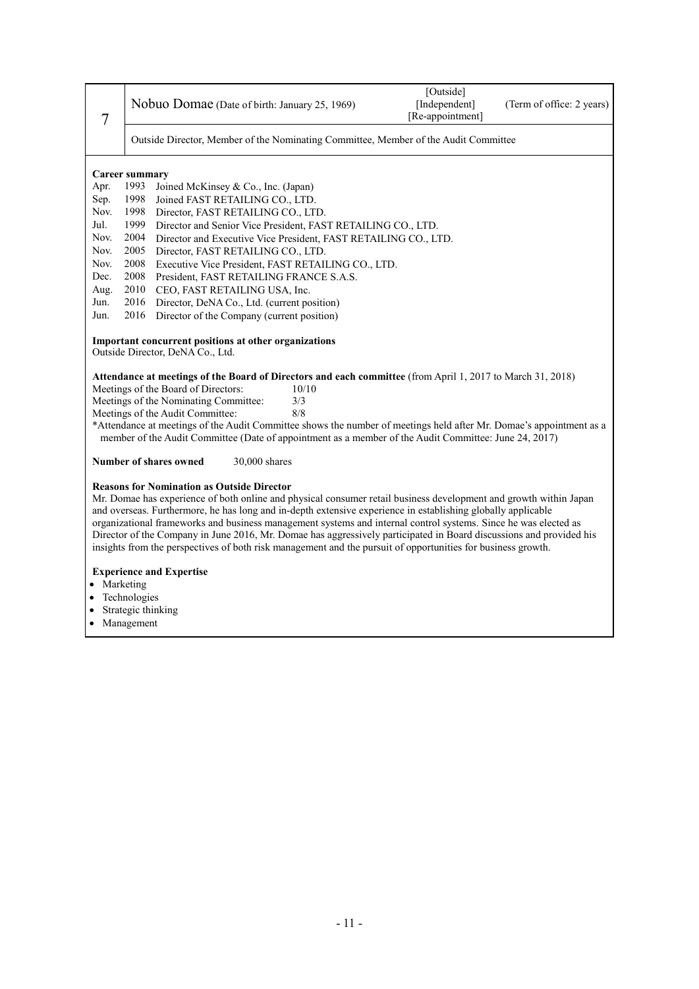| 7                     |                                                                                                                     | Nobuo Domae (Date of birth: January 25, 1969)                                                                                                                                                                                | [Outside]<br>[Independent]<br>[Re-appointment] | (Term of office: 2 years) |
|-----------------------|---------------------------------------------------------------------------------------------------------------------|------------------------------------------------------------------------------------------------------------------------------------------------------------------------------------------------------------------------------|------------------------------------------------|---------------------------|
|                       |                                                                                                                     | Outside Director, Member of the Nominating Committee, Member of the Audit Committee                                                                                                                                          |                                                |                           |
| <b>Career summary</b> |                                                                                                                     |                                                                                                                                                                                                                              |                                                |                           |
| Apr.                  | 1993                                                                                                                | Joined McKinsey & Co., Inc. (Japan)                                                                                                                                                                                          |                                                |                           |
| Sep.                  | 1998                                                                                                                | Joined FAST RETAILING CO., LTD.                                                                                                                                                                                              |                                                |                           |
| Nov.                  | 1998                                                                                                                | Director, FAST RETAILING CO., LTD.                                                                                                                                                                                           |                                                |                           |
| Jul.                  | 1999                                                                                                                | Director and Senior Vice President, FAST RETAILING CO., LTD.                                                                                                                                                                 |                                                |                           |
| Nov.                  | 2004                                                                                                                | Director and Executive Vice President, FAST RETAILING CO., LTD.                                                                                                                                                              |                                                |                           |
| Nov.                  | 2005                                                                                                                | Director, FAST RETAILING CO., LTD.                                                                                                                                                                                           |                                                |                           |
| Nov.                  | 2008                                                                                                                | Executive Vice President, FAST RETAILING CO., LTD.                                                                                                                                                                           |                                                |                           |
| Dec.                  | 2008                                                                                                                | President, FAST RETAILING FRANCE S.A.S.                                                                                                                                                                                      |                                                |                           |
| Aug.                  | 2010                                                                                                                | CEO, FAST RETAILING USA, Inc.                                                                                                                                                                                                |                                                |                           |
| Jun.                  | 2016                                                                                                                | Director, DeNA Co., Ltd. (current position)                                                                                                                                                                                  |                                                |                           |
| Jun.                  | 2016                                                                                                                | Director of the Company (current position)                                                                                                                                                                                   |                                                |                           |
|                       |                                                                                                                     | Important concurrent positions at other organizations<br>Outside Director, DeNA Co., Ltd.                                                                                                                                    |                                                |                           |
|                       | Attendance at meetings of the Board of Directors and each committee (from April 1, 2017 to March 31, 2018)          |                                                                                                                                                                                                                              |                                                |                           |
|                       |                                                                                                                     | Meetings of the Board of Directors:<br>10/10                                                                                                                                                                                 |                                                |                           |
|                       |                                                                                                                     | Meetings of the Nominating Committee:<br>3/3                                                                                                                                                                                 |                                                |                           |
|                       | 8/8<br>Meetings of the Audit Committee:                                                                             |                                                                                                                                                                                                                              |                                                |                           |
|                       |                                                                                                                     | *Attendance at meetings of the Audit Committee shows the number of meetings held after Mr. Domae's appointment as a<br>member of the Audit Committee (Date of appointment as a member of the Audit Committee: June 24, 2017) |                                                |                           |
|                       |                                                                                                                     | Number of shares owned<br>30,000 shares                                                                                                                                                                                      |                                                |                           |
|                       |                                                                                                                     | <b>Reasons for Nomination as Outside Director</b><br>Mr. Domae has experience of both online and physical consumer retail business development and growth within Japan                                                       |                                                |                           |
|                       |                                                                                                                     | and overseas. Furthermore, he has long and in-depth extensive experience in establishing globally applicable                                                                                                                 |                                                |                           |
|                       |                                                                                                                     | organizational frameworks and business management systems and internal control systems. Since he was elected as                                                                                                              |                                                |                           |
|                       | Director of the Company in June 2016, Mr. Domae has aggressively participated in Board discussions and provided his |                                                                                                                                                                                                                              |                                                |                           |
|                       | insights from the perspectives of both risk management and the pursuit of opportunities for business growth.        |                                                                                                                                                                                                                              |                                                |                           |
|                       |                                                                                                                     | <b>Experience and Expertise</b>                                                                                                                                                                                              |                                                |                           |
|                       | Marketing                                                                                                           |                                                                                                                                                                                                                              |                                                |                           |
|                       | Technologies                                                                                                        |                                                                                                                                                                                                                              |                                                |                           |

- Strategic thinking
- Management

- 11 -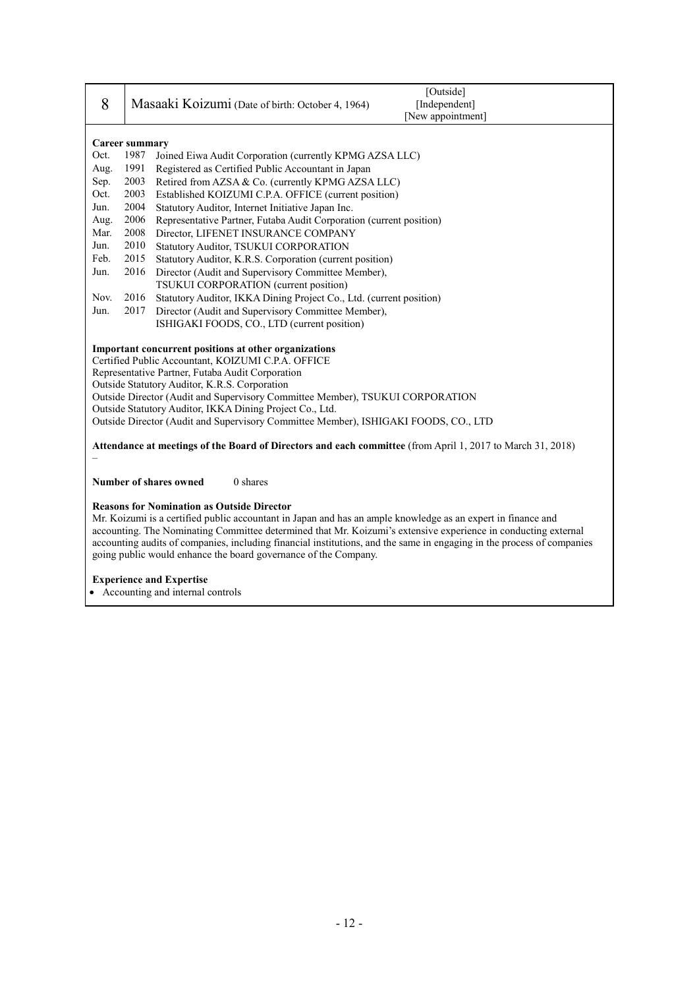| 8                                                                                                                                                                                                                                                                                                                                                                                                                                                                                                                                                                  |                                    | [Outside]<br>Masaaki Koizumi (Date of birth: October 4, 1964)<br>[Independent]<br>[New appointment] |  |
|--------------------------------------------------------------------------------------------------------------------------------------------------------------------------------------------------------------------------------------------------------------------------------------------------------------------------------------------------------------------------------------------------------------------------------------------------------------------------------------------------------------------------------------------------------------------|------------------------------------|-----------------------------------------------------------------------------------------------------|--|
|                                                                                                                                                                                                                                                                                                                                                                                                                                                                                                                                                                    | <b>Career summary</b>              |                                                                                                     |  |
| Oct.                                                                                                                                                                                                                                                                                                                                                                                                                                                                                                                                                               | 1987                               | Joined Eiwa Audit Corporation (currently KPMG AZSA LLC)                                             |  |
| Aug.                                                                                                                                                                                                                                                                                                                                                                                                                                                                                                                                                               | 1991                               | Registered as Certified Public Accountant in Japan                                                  |  |
| Sep.                                                                                                                                                                                                                                                                                                                                                                                                                                                                                                                                                               | 2003                               | Retired from AZSA & Co. (currently KPMG AZSA LLC)                                                   |  |
| Oct.                                                                                                                                                                                                                                                                                                                                                                                                                                                                                                                                                               | 2003                               | Established KOIZUMI C.P.A. OFFICE (current position)                                                |  |
| Jun.                                                                                                                                                                                                                                                                                                                                                                                                                                                                                                                                                               | 2004                               | Statutory Auditor, Internet Initiative Japan Inc.                                                   |  |
| Aug.                                                                                                                                                                                                                                                                                                                                                                                                                                                                                                                                                               | 2006                               | Representative Partner, Futaba Audit Corporation (current position)                                 |  |
| Mar.                                                                                                                                                                                                                                                                                                                                                                                                                                                                                                                                                               | 2008                               | Director, LIFENET INSURANCE COMPANY                                                                 |  |
| Jun.                                                                                                                                                                                                                                                                                                                                                                                                                                                                                                                                                               | 2010                               | Statutory Auditor, TSUKUI CORPORATION                                                               |  |
| Feb.                                                                                                                                                                                                                                                                                                                                                                                                                                                                                                                                                               | 2015                               | Statutory Auditor, K.R.S. Corporation (current position)                                            |  |
| Jun.                                                                                                                                                                                                                                                                                                                                                                                                                                                                                                                                                               | 2016                               | Director (Audit and Supervisory Committee Member),                                                  |  |
|                                                                                                                                                                                                                                                                                                                                                                                                                                                                                                                                                                    |                                    | TSUKUI CORPORATION (current position)                                                               |  |
| Nov.                                                                                                                                                                                                                                                                                                                                                                                                                                                                                                                                                               | 2016                               | Statutory Auditor, IKKA Dining Project Co., Ltd. (current position)                                 |  |
| Jun.                                                                                                                                                                                                                                                                                                                                                                                                                                                                                                                                                               | 2017                               | Director (Audit and Supervisory Committee Member),                                                  |  |
|                                                                                                                                                                                                                                                                                                                                                                                                                                                                                                                                                                    |                                    | ISHIGAKI FOODS, CO., LTD (current position)                                                         |  |
| Important concurrent positions at other organizations<br>Certified Public Accountant, KOIZUMI C.P.A. OFFICE<br>Representative Partner, Futaba Audit Corporation<br>Outside Statutory Auditor, K.R.S. Corporation<br>Outside Director (Audit and Supervisory Committee Member), TSUKUI CORPORATION<br>Outside Statutory Auditor, IKKA Dining Project Co., Ltd.<br>Outside Director (Audit and Supervisory Committee Member), ISHIGAKI FOODS, CO., LTD<br>Attendance at meetings of the Board of Directors and each committee (from April 1, 2017 to March 31, 2018) |                                    |                                                                                                     |  |
|                                                                                                                                                                                                                                                                                                                                                                                                                                                                                                                                                                    | Number of shares owned<br>0 shares |                                                                                                     |  |
| <b>Reasons for Nomination as Outside Director</b><br>Mr. Koizumi is a certified public accountant in Japan and has an ample knowledge as an expert in finance and<br>accounting. The Nominating Committee determined that Mr. Koizumi's extensive experience in conducting external<br>accounting audits of companies, including financial institutions, and the same in engaging in the process of companies<br>going public would enhance the board governance of the Company.<br><b>Experience and Expertise</b><br>Accounting and internal controls            |                                    |                                                                                                     |  |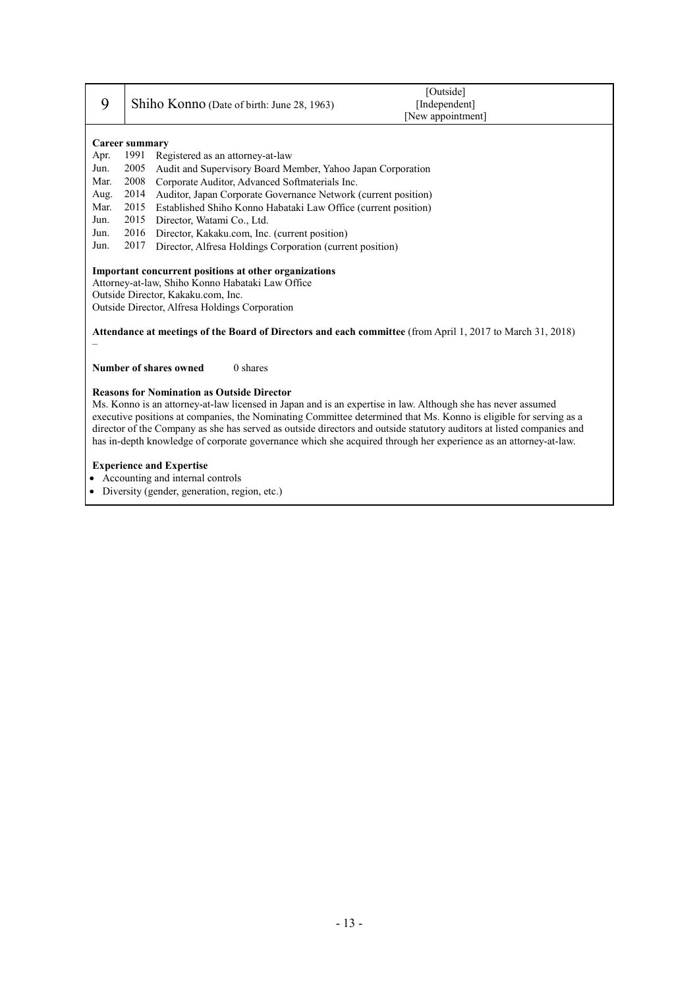| 9                                                                                                                                                                                                                                                                                                                                                                                                                                                                                                                                  | [Outside]<br>Shiho Konno (Date of birth: June 28, 1963)<br>[Independent]<br>[New appointment] |  |  |
|------------------------------------------------------------------------------------------------------------------------------------------------------------------------------------------------------------------------------------------------------------------------------------------------------------------------------------------------------------------------------------------------------------------------------------------------------------------------------------------------------------------------------------|-----------------------------------------------------------------------------------------------|--|--|
|                                                                                                                                                                                                                                                                                                                                                                                                                                                                                                                                    | Career summary                                                                                |  |  |
| Apr.                                                                                                                                                                                                                                                                                                                                                                                                                                                                                                                               | 1991<br>Registered as an attorney-at-law                                                      |  |  |
| Jun.                                                                                                                                                                                                                                                                                                                                                                                                                                                                                                                               | 2005<br>Audit and Supervisory Board Member, Yahoo Japan Corporation                           |  |  |
| Mar.                                                                                                                                                                                                                                                                                                                                                                                                                                                                                                                               | 2008<br>Corporate Auditor, Advanced Softmaterials Inc.                                        |  |  |
| Aug.                                                                                                                                                                                                                                                                                                                                                                                                                                                                                                                               | 2014<br>Auditor, Japan Corporate Governance Network (current position)                        |  |  |
| Mar.                                                                                                                                                                                                                                                                                                                                                                                                                                                                                                                               | 2015<br>Established Shiho Konno Habataki Law Office (current position)<br>2015                |  |  |
| Jun.                                                                                                                                                                                                                                                                                                                                                                                                                                                                                                                               | Director, Watami Co., Ltd.                                                                    |  |  |
| Jun.<br>Jun.                                                                                                                                                                                                                                                                                                                                                                                                                                                                                                                       | 2016<br>Director, Kakaku.com, Inc. (current position)<br>2017                                 |  |  |
|                                                                                                                                                                                                                                                                                                                                                                                                                                                                                                                                    | Director, Alfresa Holdings Corporation (current position)                                     |  |  |
| Important concurrent positions at other organizations<br>Attorney-at-law, Shiho Konno Habataki Law Office<br>Outside Director, Kakaku.com, Inc.<br>Outside Director, Alfresa Holdings Corporation<br>Attendance at meetings of the Board of Directors and each committee (from April 1, 2017 to March 31, 2018)                                                                                                                                                                                                                    |                                                                                               |  |  |
|                                                                                                                                                                                                                                                                                                                                                                                                                                                                                                                                    | $0$ shares<br><b>Number of shares owned</b>                                                   |  |  |
| <b>Reasons for Nomination as Outside Director</b><br>Ms. Konno is an attorney-at-law licensed in Japan and is an expertise in law. Although she has never assumed<br>executive positions at companies, the Nominating Committee determined that Ms. Konno is eligible for serving as a<br>director of the Company as she has served as outside directors and outside statutory auditors at listed companies and<br>has in-depth knowledge of corporate governance which she acquired through her experience as an attorney-at-law. |                                                                                               |  |  |
|                                                                                                                                                                                                                                                                                                                                                                                                                                                                                                                                    | <b>Experience and Expertise</b>                                                               |  |  |
|                                                                                                                                                                                                                                                                                                                                                                                                                                                                                                                                    | • Accounting and internal controls                                                            |  |  |

Diversity (gender, generation, region, etc.)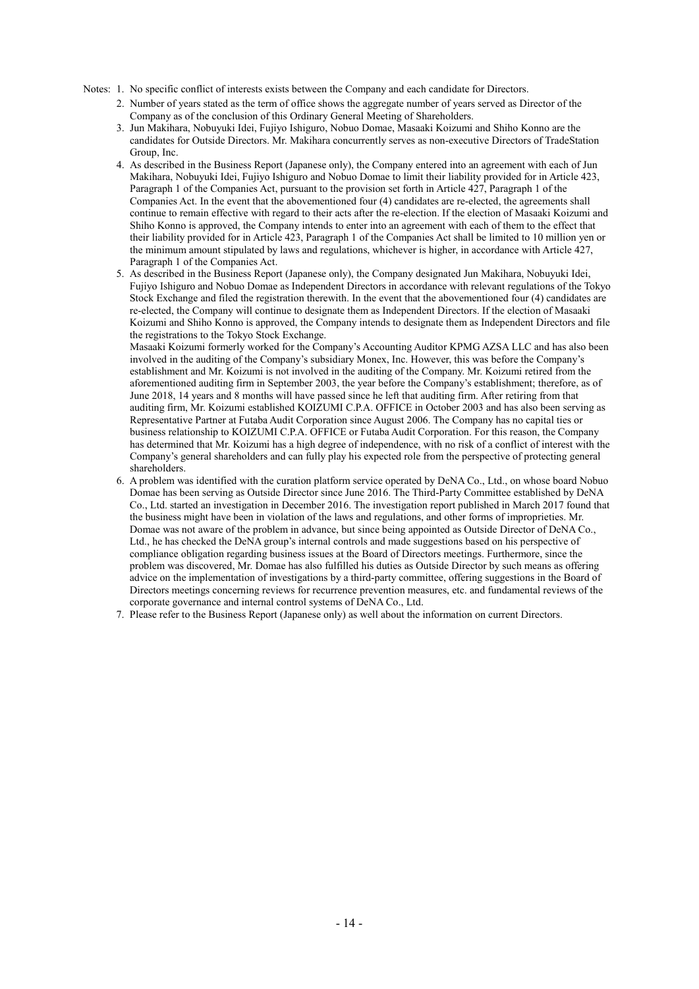Notes: 1. No specific conflict of interests exists between the Company and each candidate for Directors.

- 2. Number of years stated as the term of office shows the aggregate number of years served as Director of the Company as of the conclusion of this Ordinary General Meeting of Shareholders.
- 3. Jun Makihara, Nobuyuki Idei, Fujiyo Ishiguro, Nobuo Domae, Masaaki Koizumi and Shiho Konno are the candidates for Outside Directors. Mr. Makihara concurrently serves as non-executive Directors of TradeStation Group, Inc.
- 4. As described in the Business Report (Japanese only), the Company entered into an agreement with each of Jun Makihara, Nobuyuki Idei, Fujiyo Ishiguro and Nobuo Domae to limit their liability provided for in Article 423, Paragraph 1 of the Companies Act, pursuant to the provision set forth in Article 427, Paragraph 1 of the Companies Act. In the event that the abovementioned four (4) candidates are re-elected, the agreements shall continue to remain effective with regard to their acts after the re-election. If the election of Masaaki Koizumi and Shiho Konno is approved, the Company intends to enter into an agreement with each of them to the effect that their liability provided for in Article 423, Paragraph 1 of the Companies Act shall be limited to 10 million yen or the minimum amount stipulated by laws and regulations, whichever is higher, in accordance with Article 427, Paragraph 1 of the Companies Act.
- 5. As described in the Business Report (Japanese only), the Company designated Jun Makihara, Nobuyuki Idei, Fujiyo Ishiguro and Nobuo Domae as Independent Directors in accordance with relevant regulations of the Tokyo Stock Exchange and filed the registration therewith. In the event that the abovementioned four (4) candidates are re-elected, the Company will continue to designate them as Independent Directors. If the election of Masaaki Koizumi and Shiho Konno is approved, the Company intends to designate them as Independent Directors and file the registrations to the Tokyo Stock Exchange.

Masaaki Koizumi formerly worked for the Company's Accounting Auditor KPMG AZSA LLC and has also been involved in the auditing of the Company's subsidiary Monex, Inc. However, this was before the Company's establishment and Mr. Koizumi is not involved in the auditing of the Company. Mr. Koizumi retired from the aforementioned auditing firm in September 2003, the year before the Company's establishment; therefore, as of June 2018, 14 years and 8 months will have passed since he left that auditing firm. After retiring from that auditing firm, Mr. Koizumi established KOIZUMI C.P.A. OFFICE in October 2003 and has also been serving as Representative Partner at Futaba Audit Corporation since August 2006. The Company has no capital ties or business relationship to KOIZUMI C.P.A. OFFICE or Futaba Audit Corporation. For this reason, the Company has determined that Mr. Koizumi has a high degree of independence, with no risk of a conflict of interest with the Company's general shareholders and can fully play his expected role from the perspective of protecting general shareholders.

- 6. A problem was identified with the curation platform service operated by DeNA Co., Ltd., on whose board Nobuo Domae has been serving as Outside Director since June 2016. The Third-Party Committee established by DeNA Co., Ltd. started an investigation in December 2016. The investigation report published in March 2017 found that the business might have been in violation of the laws and regulations, and other forms of improprieties. Mr. Domae was not aware of the problem in advance, but since being appointed as Outside Director of DeNA Co., Ltd., he has checked the DeNA group's internal controls and made suggestions based on his perspective of compliance obligation regarding business issues at the Board of Directors meetings. Furthermore, since the problem was discovered, Mr. Domae has also fulfilled his duties as Outside Director by such means as offering advice on the implementation of investigations by a third-party committee, offering suggestions in the Board of Directors meetings concerning reviews for recurrence prevention measures, etc. and fundamental reviews of the corporate governance and internal control systems of DeNA Co., Ltd.
- 7. Please refer to the Business Report (Japanese only) as well about the information on current Directors.